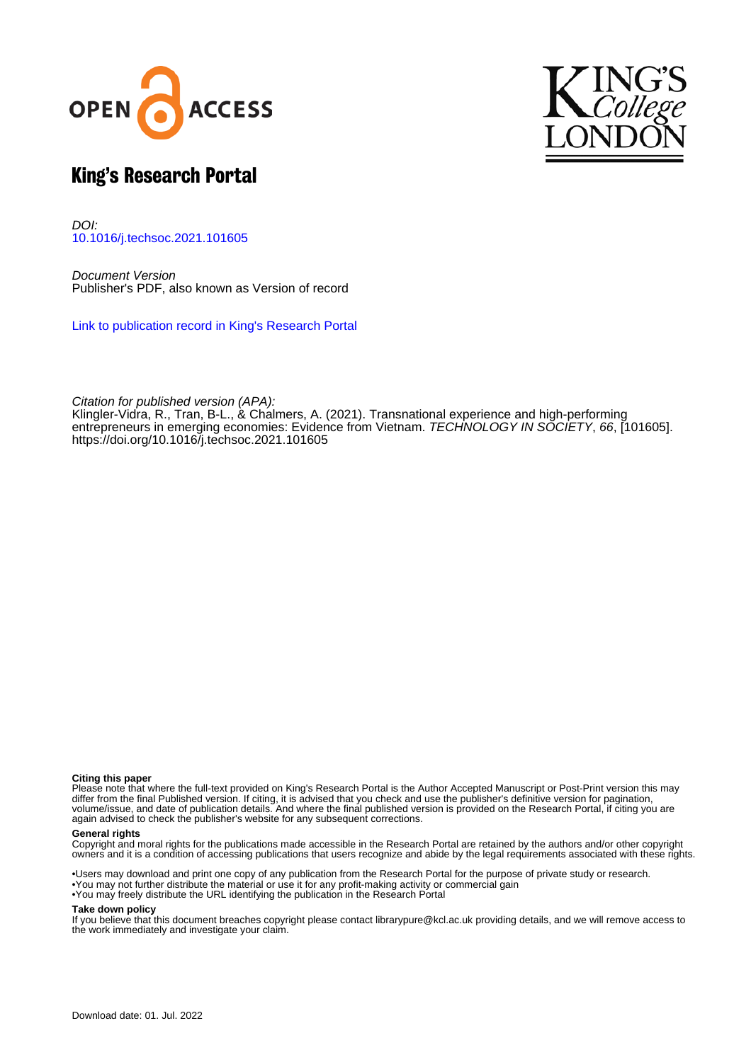



# King's Research Portal

DOI: [10.1016/j.techsoc.2021.101605](https://doi.org/10.1016/j.techsoc.2021.101605)

Document Version Publisher's PDF, also known as Version of record

[Link to publication record in King's Research Portal](https://kclpure.kcl.ac.uk/portal/en/publications/transnational-experience-and-highperforming-entrepreneurs-in-emerging-economies-evidence-from-vietnam(c577242a-bc6a-458d-a74e-89cd495e46bd).html)

Citation for published version (APA):

[Klingler-Vidra, R.,](https://kclpure.kcl.ac.uk/portal/en/persons/robyn-klinglervidra(756fcf87-e2c2-4d19-865b-aeb132ff31be).html) Tran, B-L.[, & Chalmers, A.](https://kclpure.kcl.ac.uk/portal/en/persons/adam-chalmers(f086f86c-ab61-44c2-83e4-4cbcd1444905).html) (2021). [Transnational experience and high-performing](https://kclpure.kcl.ac.uk/portal/en/publications/transnational-experience-and-highperforming-entrepreneurs-in-emerging-economies-evidence-from-vietnam(c577242a-bc6a-458d-a74e-89cd495e46bd).html) [entrepreneurs in emerging economies: Evidence from Vietnam](https://kclpure.kcl.ac.uk/portal/en/publications/transnational-experience-and-highperforming-entrepreneurs-in-emerging-economies-evidence-from-vietnam(c577242a-bc6a-458d-a74e-89cd495e46bd).html). *[TECHNOLOGY IN SOCIETY](https://kclpure.kcl.ac.uk/portal/en/journals/technology-in-society(3e1f0b4d-12c9-46e6-a969-5bb993cc8433).html), 66*, [101605]. <https://doi.org/10.1016/j.techsoc.2021.101605>

# **Citing this paper**

Please note that where the full-text provided on King's Research Portal is the Author Accepted Manuscript or Post-Print version this may differ from the final Published version. If citing, it is advised that you check and use the publisher's definitive version for pagination, volume/issue, and date of publication details. And where the final published version is provided on the Research Portal, if citing you are again advised to check the publisher's website for any subsequent corrections.

# **General rights**

Copyright and moral rights for the publications made accessible in the Research Portal are retained by the authors and/or other copyright owners and it is a condition of accessing publications that users recognize and abide by the legal requirements associated with these rights.

•Users may download and print one copy of any publication from the Research Portal for the purpose of private study or research. •You may not further distribute the material or use it for any profit-making activity or commercial gain •You may freely distribute the URL identifying the publication in the Research Portal

# **Take down policy**

If you believe that this document breaches copyright please contact librarypure@kcl.ac.uk providing details, and we will remove access to the work immediately and investigate your claim.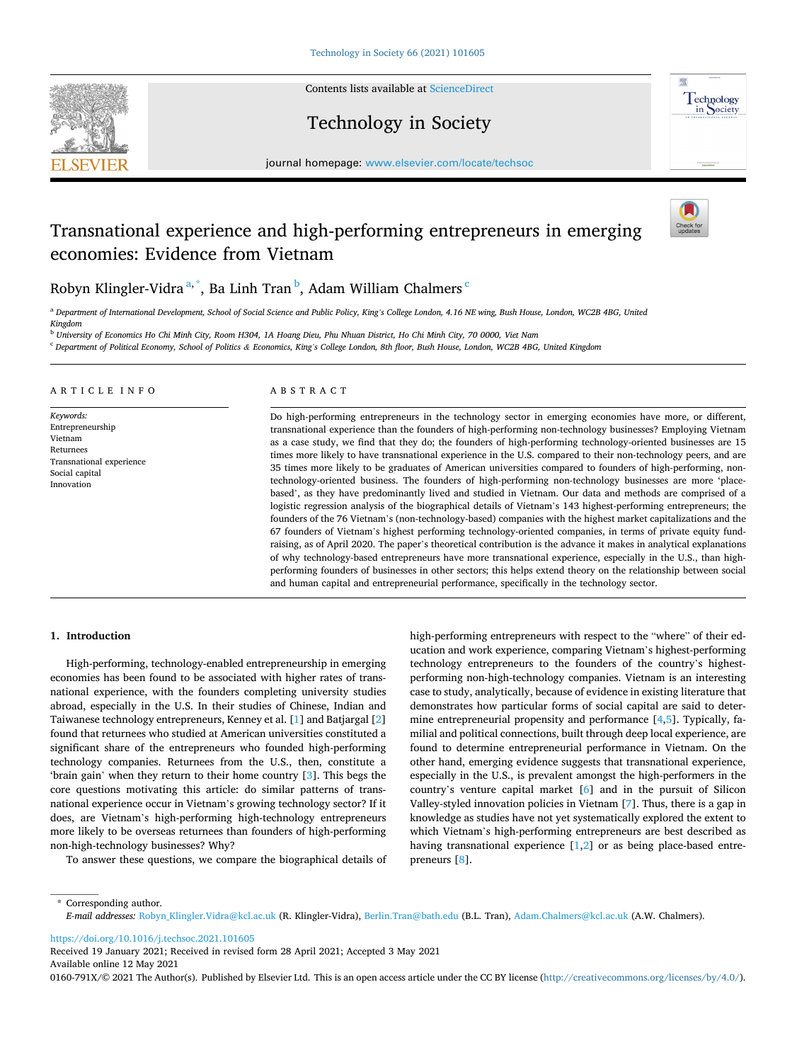

Contents lists available at [ScienceDirect](www.sciencedirect.com/science/journal/0160791X)

# Technology in Society



journal homepage: [www.elsevier.com/locate/techsoc](https://www.elsevier.com/locate/techsoc) 

# Transnational experience and high-performing entrepreneurs in emerging economies: Evidence from Vietnam



Robyn Klingler-Vidra $^{\mathrm{a},\mathrm{*}}$ , Ba Linh Tran $^{\mathrm{b}}$ , Adam William Chalmers $^{\mathrm{c}}$ 

<sup>a</sup> *Department of International Development, School of Social Science and Public Policy, King's College London, 4.16 NE wing, Bush House, London, WC2B 4BG, United* 

*Kingdom*  <sup>b</sup> *University of Economics Ho Chi Minh City, Room H304, 1A Hoang Dieu, Phu Nhuan District, Ho Chi Minh City, 70 0000, Viet Nam* 

<sup>c</sup> *Department of Political Economy, School of Politics & Economics, King's College London, 8th floor, Bush House, London, WC2B 4BG, United Kingdom* 

## ARTICLE INFO

*Keywords:*  Entrepreneurship Vietnam Returnees Transnational experience Social capital Innovation

### ABSTRACT

Do high-performing entrepreneurs in the technology sector in emerging economies have more, or different, transnational experience than the founders of high-performing non-technology businesses? Employing Vietnam as a case study, we find that they do; the founders of high-performing technology-oriented businesses are 15 times more likely to have transnational experience in the U.S. compared to their non-technology peers, and are 35 times more likely to be graduates of American universities compared to founders of high-performing, nontechnology-oriented business. The founders of high-performing non-technology businesses are more 'placebased', as they have predominantly lived and studied in Vietnam. Our data and methods are comprised of a logistic regression analysis of the biographical details of Vietnam's 143 highest-performing entrepreneurs; the founders of the 76 Vietnam's (non-technology-based) companies with the highest market capitalizations and the 67 founders of Vietnam's highest performing technology-oriented companies, in terms of private equity fundraising, as of April 2020. The paper's theoretical contribution is the advance it makes in analytical explanations of why technology-based entrepreneurs have more transnational experience, especially in the U.S., than highperforming founders of businesses in other sectors; this helps extend theory on the relationship between social and human capital and entrepreneurial performance, specifically in the technology sector.

# **1. Introduction**

High-performing, technology-enabled entrepreneurship in emerging economies has been found to be associated with higher rates of transnational experience, with the founders completing university studies abroad, especially in the U.S. In their studies of Chinese, Indian and Taiwanese technology entrepreneurs, Kenney et al. [[1](#page-10-0)] and Batjargal [[2](#page-10-0)] found that returnees who studied at American universities constituted a significant share of the entrepreneurs who founded high-performing technology companies. Returnees from the U.S., then, constitute a 'brain gain' when they return to their home country [\[3\]](#page-10-0). This begs the core questions motivating this article: do similar patterns of transnational experience occur in Vietnam's growing technology sector? If it does, are Vietnam's high-performing high-technology entrepreneurs more likely to be overseas returnees than founders of high-performing non-high-technology businesses? Why?

To answer these questions, we compare the biographical details of

high-performing entrepreneurs with respect to the "where" of their education and work experience, comparing Vietnam's highest-performing technology entrepreneurs to the founders of the country's highestperforming non-high-technology companies. Vietnam is an interesting case to study, analytically, because of evidence in existing literature that demonstrates how particular forms of social capital are said to determine entrepreneurial propensity and performance [\[4,5](#page-11-0)]. Typically, familial and political connections, built through deep local experience, are found to determine entrepreneurial performance in Vietnam. On the other hand, emerging evidence suggests that transnational experience, especially in the U.S., is prevalent amongst the high-performers in the country's venture capital market [\[6\]](#page-11-0) and in the pursuit of Silicon Valley-styled innovation policies in Vietnam [[7](#page-11-0)]. Thus, there is a gap in knowledge as studies have not yet systematically explored the extent to which Vietnam's high-performing entrepreneurs are best described as having transnational experience  $[1,2]$  $[1,2]$  or as being place-based entrepreneurs [\[8\]](#page-11-0).

\* Corresponding author. *E-mail addresses:* [Robyn\\_Klingler.Vidra@kcl.ac.uk](mailto:Robyn_Klingler.Vidra@kcl.ac.uk) (R. Klingler-Vidra), [Berlin.Tran@bath.edu](mailto:Berlin.Tran@bath.edu) (B.L. Tran), [Adam.Chalmers@kcl.ac.uk](mailto:Adam.Chalmers@kcl.ac.uk) (A.W. Chalmers).

<https://doi.org/10.1016/j.techsoc.2021.101605>

Available online 12 May 2021 Received 19 January 2021; Received in revised form 28 April 2021; Accepted 3 May 2021

0160-791X/© 2021 The Author(s). Published by Elsevier Ltd. This is an open access article under the CC BY license [\(http://creativecommons.org/licenses/by/4.0/\)](http://creativecommons.org/licenses/by/4.0/).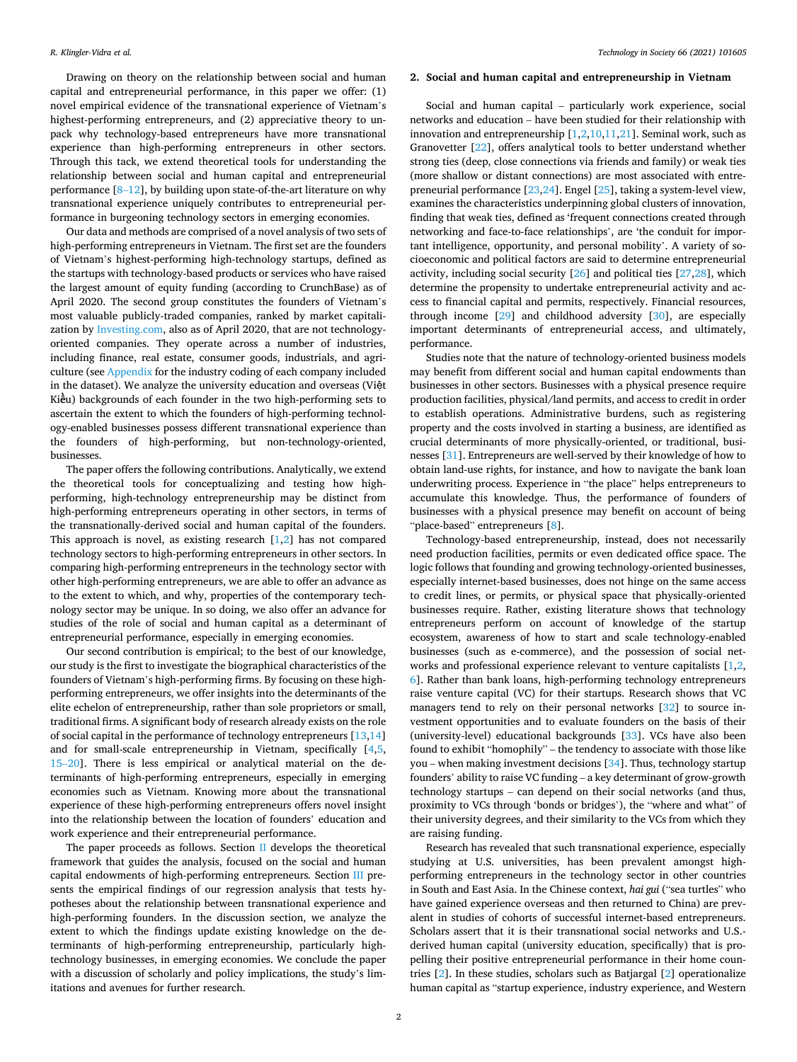Drawing on theory on the relationship between social and human capital and entrepreneurial performance, in this paper we offer: (1) novel empirical evidence of the transnational experience of Vietnam's highest-performing entrepreneurs, and (2) appreciative theory to unpack why technology-based entrepreneurs have more transnational experience than high-performing entrepreneurs in other sectors. Through this tack, we extend theoretical tools for understanding the relationship between social and human capital and entrepreneurial performance  $[8-12]$  $[8-12]$ , by building upon state-of-the-art literature on why transnational experience uniquely contributes to entrepreneurial performance in burgeoning technology sectors in emerging economies.

Our data and methods are comprised of a novel analysis of two sets of high-performing entrepreneurs in Vietnam. The first set are the founders of Vietnam's highest-performing high-technology startups, defined as the startups with technology-based products or services who have raised the largest amount of equity funding (according to CrunchBase) as of April 2020. The second group constitutes the founders of Vietnam's most valuable publicly-traded companies, ranked by market capitalization by [Investing.com,](http://Investing.com) also as of April 2020, that are not technologyoriented companies. They operate across a number of industries, including finance, real estate, consumer goods, industrials, and agriculture (see [Appendix](#page-8-0) for the industry coding of each company included in the dataset). We analyze the university education and overseas (Việt Kiều) backgrounds of each founder in the two high-performing sets to ascertain the extent to which the founders of high-performing technology-enabled businesses possess different transnational experience than the founders of high-performing, but non-technology-oriented, businesses.

The paper offers the following contributions. Analytically, we extend the theoretical tools for conceptualizing and testing how highperforming, high-technology entrepreneurship may be distinct from high-performing entrepreneurs operating in other sectors, in terms of the transnationally-derived social and human capital of the founders. This approach is novel, as existing research [\[1,2](#page-10-0)] has not compared technology sectors to high-performing entrepreneurs in other sectors. In comparing high-performing entrepreneurs in the technology sector with other high-performing entrepreneurs, we are able to offer an advance as to the extent to which, and why, properties of the contemporary technology sector may be unique. In so doing, we also offer an advance for studies of the role of social and human capital as a determinant of entrepreneurial performance, especially in emerging economies.

Our second contribution is empirical; to the best of our knowledge, our study is the first to investigate the biographical characteristics of the founders of Vietnam's high-performing firms. By focusing on these highperforming entrepreneurs, we offer insights into the determinants of the elite echelon of entrepreneurship, rather than sole proprietors or small, traditional firms. A significant body of research already exists on the role of social capital in the performance of technology entrepreneurs [\[13,14](#page-11-0)] and for small-scale entrepreneurship in Vietnam, specifically [\[4,5](#page-11-0), 15–[20\]](#page-11-0). There is less empirical or analytical material on the determinants of high-performing entrepreneurs, especially in emerging economies such as Vietnam. Knowing more about the transnational experience of these high-performing entrepreneurs offers novel insight into the relationship between the location of founders' education and work experience and their entrepreneurial performance.

The paper proceeds as follows. Section II develops the theoretical framework that guides the analysis, focused on the social and human capital endowments of high-performing entrepreneurs*.* Section [III](#page-4-0) presents the empirical findings of our regression analysis that tests hypotheses about the relationship between transnational experience and high-performing founders. In the discussion section, we analyze the extent to which the findings update existing knowledge on the determinants of high-performing entrepreneurship, particularly hightechnology businesses, in emerging economies. We conclude the paper with a discussion of scholarly and policy implications, the study's limitations and avenues for further research.

# **2. Social and human capital and entrepreneurship in Vietnam**

Social and human capital – particularly work experience, social networks and education – have been studied for their relationship with innovation and entrepreneurship [[1,2,](#page-10-0)[10,11,21](#page-11-0)]. Seminal work, such as Granovetter [\[22](#page-11-0)], offers analytical tools to better understand whether strong ties (deep, close connections via friends and family) or weak ties (more shallow or distant connections) are most associated with entrepreneurial performance [[23,24\]](#page-11-0). Engel [\[25](#page-11-0)], taking a system-level view, examines the characteristics underpinning global clusters of innovation, finding that weak ties, defined as 'frequent connections created through networking and face-to-face relationships', are 'the conduit for important intelligence, opportunity, and personal mobility'. A variety of socioeconomic and political factors are said to determine entrepreneurial activity, including social security [[26\]](#page-11-0) and political ties [\[27,28](#page-11-0)], which determine the propensity to undertake entrepreneurial activity and access to financial capital and permits, respectively. Financial resources, through income [\[29\]](#page-11-0) and childhood adversity [\[30](#page-11-0)], are especially important determinants of entrepreneurial access, and ultimately, performance.

Studies note that the nature of technology-oriented business models may benefit from different social and human capital endowments than businesses in other sectors. Businesses with a physical presence require production facilities, physical/land permits, and access to credit in order to establish operations. Administrative burdens, such as registering property and the costs involved in starting a business, are identified as crucial determinants of more physically-oriented, or traditional, businesses [[31\]](#page-11-0). Entrepreneurs are well-served by their knowledge of how to obtain land-use rights, for instance, and how to navigate the bank loan underwriting process. Experience in "the place" helps entrepreneurs to accumulate this knowledge. Thus, the performance of founders of businesses with a physical presence may benefit on account of being "place-based" entrepreneurs [[8](#page-11-0)].

Technology-based entrepreneurship, instead, does not necessarily need production facilities, permits or even dedicated office space. The logic follows that founding and growing technology-oriented businesses, especially internet-based businesses, does not hinge on the same access to credit lines, or permits, or physical space that physically-oriented businesses require. Rather, existing literature shows that technology entrepreneurs perform on account of knowledge of the startup ecosystem, awareness of how to start and scale technology-enabled businesses (such as e-commerce), and the possession of social networks and professional experience relevant to venture capitalists [\[1,2](#page-10-0), [6](#page-11-0)]. Rather than bank loans, high-performing technology entrepreneurs raise venture capital (VC) for their startups. Research shows that VC managers tend to rely on their personal networks [[32\]](#page-11-0) to source investment opportunities and to evaluate founders on the basis of their (university-level) educational backgrounds [\[33](#page-11-0)]. VCs have also been found to exhibit "homophily" – the tendency to associate with those like you – when making investment decisions  $[34]$  $[34]$ . Thus, technology startup founders' ability to raise VC funding – a key determinant of grow-growth technology startups – can depend on their social networks (and thus, proximity to VCs through 'bonds or bridges'), the "where and what" of their university degrees, and their similarity to the VCs from which they are raising funding.

Research has revealed that such transnational experience, especially studying at U.S. universities, has been prevalent amongst highperforming entrepreneurs in the technology sector in other countries in South and East Asia. In the Chinese context, *hai gui* ("sea turtles" who have gained experience overseas and then returned to China) are prevalent in studies of cohorts of successful internet-based entrepreneurs. Scholars assert that it is their transnational social networks and U.S. derived human capital (university education, specifically) that is propelling their positive entrepreneurial performance in their home countries [[2](#page-10-0)]. In these studies, scholars such as Batjargal [[2\]](#page-10-0) operationalize human capital as "startup experience, industry experience, and Western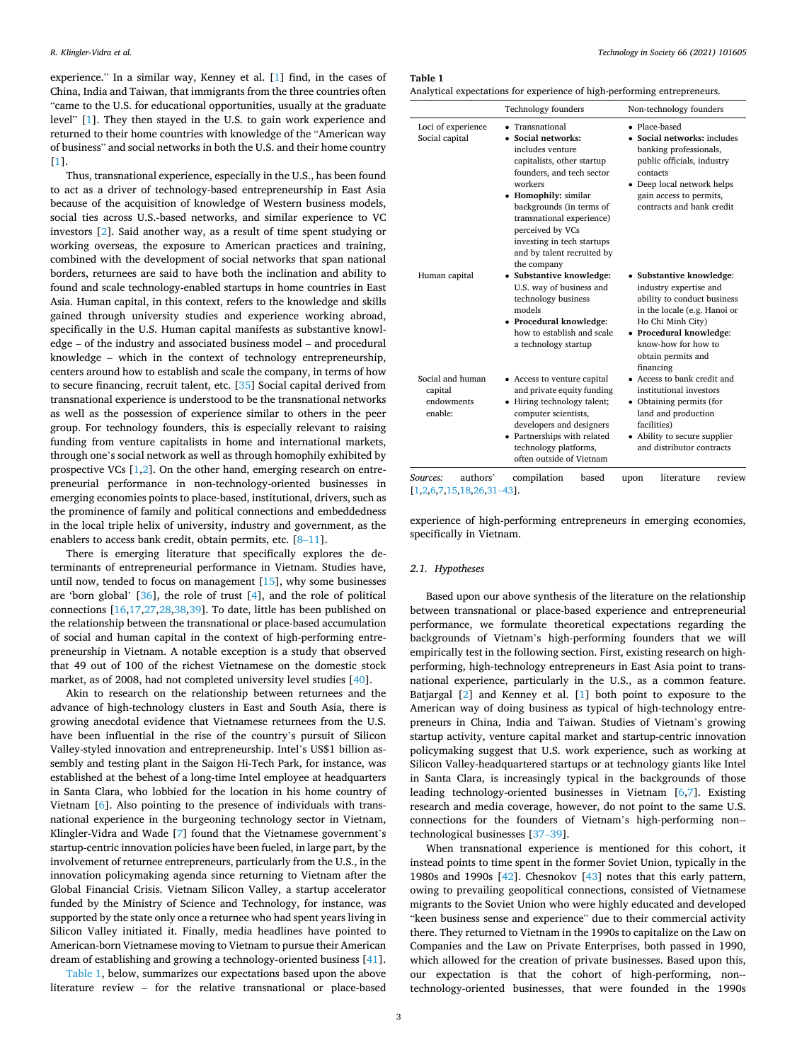experience." In a similar way, Kenney et al. [[1](#page-10-0)] find, in the cases of China, India and Taiwan, that immigrants from the three countries often "came to the U.S. for educational opportunities, usually at the graduate level" [\[1\]](#page-10-0). They then stayed in the U.S. to gain work experience and returned to their home countries with knowledge of the "American way of business" and social networks in both the U.S. and their home country [[1](#page-10-0)].

Thus, transnational experience, especially in the U.S., has been found to act as a driver of technology-based entrepreneurship in East Asia because of the acquisition of knowledge of Western business models, social ties across U.S.-based networks, and similar experience to VC investors [[2](#page-10-0)]. Said another way, as a result of time spent studying or working overseas, the exposure to American practices and training, combined with the development of social networks that span national borders, returnees are said to have both the inclination and ability to found and scale technology-enabled startups in home countries in East Asia. Human capital, in this context, refers to the knowledge and skills gained through university studies and experience working abroad, specifically in the U.S. Human capital manifests as substantive knowledge – of the industry and associated business model – and procedural knowledge – which in the context of technology entrepreneurship, centers around how to establish and scale the company, in terms of how to secure financing, recruit talent, etc. [[35](#page-11-0)] Social capital derived from transnational experience is understood to be the transnational networks as well as the possession of experience similar to others in the peer group. For technology founders, this is especially relevant to raising funding from venture capitalists in home and international markets, through one's social network as well as through homophily exhibited by prospective VCs [[1](#page-10-0),[2](#page-10-0)]. On the other hand, emerging research on entrepreneurial performance in non-technology-oriented businesses in emerging economies points to place-based, institutional, drivers, such as the prominence of family and political connections and embeddedness in the local triple helix of university, industry and government, as the enablers to access bank credit, obtain permits, etc. [8–[11](#page-11-0)].

There is emerging literature that specifically explores the determinants of entrepreneurial performance in Vietnam. Studies have, until now, tended to focus on management [[15\]](#page-11-0), why some businesses are 'born global' [[36\]](#page-11-0), the role of trust [[4](#page-11-0)], and the role of political connections [\[16](#page-11-0),[17,27,28,38,39](#page-11-0)]. To date, little has been published on the relationship between the transnational or place-based accumulation of social and human capital in the context of high-performing entrepreneurship in Vietnam. A notable exception is a study that observed that 49 out of 100 of the richest Vietnamese on the domestic stock market, as of 2008, had not completed university level studies [\[40](#page-11-0)].

Akin to research on the relationship between returnees and the advance of high-technology clusters in East and South Asia, there is growing anecdotal evidence that Vietnamese returnees from the U.S. have been influential in the rise of the country's pursuit of Silicon Valley-styled innovation and entrepreneurship. Intel's US\$1 billion assembly and testing plant in the Saigon Hi-Tech Park, for instance, was established at the behest of a long-time Intel employee at headquarters in Santa Clara, who lobbied for the location in his home country of Vietnam [[6](#page-11-0)]. Also pointing to the presence of individuals with transnational experience in the burgeoning technology sector in Vietnam, Klingler-Vidra and Wade [\[7\]](#page-11-0) found that the Vietnamese government's startup-centric innovation policies have been fueled, in large part, by the involvement of returnee entrepreneurs, particularly from the U.S., in the innovation policymaking agenda since returning to Vietnam after the Global Financial Crisis. Vietnam Silicon Valley, a startup accelerator funded by the Ministry of Science and Technology, for instance, was supported by the state only once a returnee who had spent years living in Silicon Valley initiated it. Finally, media headlines have pointed to American-born Vietnamese moving to Vietnam to pursue their American dream of establishing and growing a technology-oriented business [\[41](#page-11-0)].

Table 1, below, summarizes our expectations based upon the above literature review – for the relative transnational or place-based **Table 1** 

Analytical expectations for experience of high-performing entrepreneurs.

|                                                      | <b>Technology founders</b>                                                                                                                                                                                                                                                                                      | Non-technology founders                                                                                                                                                                                                     |  |  |
|------------------------------------------------------|-----------------------------------------------------------------------------------------------------------------------------------------------------------------------------------------------------------------------------------------------------------------------------------------------------------------|-----------------------------------------------------------------------------------------------------------------------------------------------------------------------------------------------------------------------------|--|--|
| Loci of experience<br>Social capital                 | • Transnational<br>• Social networks:<br>includes venture<br>capitalists, other startup<br>founders, and tech sector<br>workers<br>• Homophily: similar<br>backgrounds (in terms of<br>transnational experience)<br>perceived by VCs<br>investing in tech startups<br>and by talent recruited by<br>the company | • Place-based<br>• Social networks: includes<br>banking professionals,<br>public officials, industry<br>contacts<br>• Deep local network helps<br>gain access to permits,<br>contracts and bank credit                      |  |  |
| Human capital                                        | • Substantive knowledge:<br>U.S. way of business and<br>technology business<br>models<br>• Procedural knowledge:<br>how to establish and scale<br>a technology startup                                                                                                                                          | • Substantive knowledge:<br>industry expertise and<br>ability to conduct business<br>in the locale (e.g. Hanoi or<br>Ho Chi Minh City)<br>• Procedural knowledge:<br>know-how for how to<br>obtain permits and<br>financing |  |  |
| Social and human<br>capital<br>endowments<br>enable: | • Access to venture capital<br>and private equity funding<br>• Hiring technology talent;<br>computer scientists,<br>developers and designers<br>• Partnerships with related<br>technology platforms,<br>often outside of Vietnam                                                                                | • Access to bank credit and<br>institutional investors<br>• Obtaining permits (for<br>land and production<br>facilities)<br>• Ability to secure supplier<br>and distributor contracts                                       |  |  |
| authors'<br>Sources:                                 | compilation<br>based                                                                                                                                                                                                                                                                                            | literature<br>review<br>upon                                                                                                                                                                                                |  |  |

[[1,2,](#page-10-0)[6,7,15,18,26](#page-11-0),31–[43\]](#page-11-0).

experience of high-performing entrepreneurs in emerging economies, specifically in Vietnam.

#### *2.1. Hypotheses*

Based upon our above synthesis of the literature on the relationship between transnational or place-based experience and entrepreneurial performance, we formulate theoretical expectations regarding the backgrounds of Vietnam's high-performing founders that we will empirically test in the following section. First, existing research on highperforming, high-technology entrepreneurs in East Asia point to transnational experience, particularly in the U.S., as a common feature. Batjargal [[2](#page-10-0)] and Kenney et al. [[1](#page-10-0)] both point to exposure to the American way of doing business as typical of high-technology entrepreneurs in China, India and Taiwan. Studies of Vietnam's growing startup activity, venture capital market and startup-centric innovation policymaking suggest that U.S. work experience, such as working at Silicon Valley-headquartered startups or at technology giants like Intel in Santa Clara, is increasingly typical in the backgrounds of those leading technology-oriented businesses in Vietnam [\[6,7](#page-11-0)]. Existing research and media coverage, however, do not point to the same U.S. connections for the founders of Vietnam's high-performing non-technological businesses [\[37](#page-11-0)–39].

When transnational experience is mentioned for this cohort, it instead points to time spent in the former Soviet Union, typically in the 1980s and 1990s [\[42](#page-11-0)]. Chesnokov [[43\]](#page-11-0) notes that this early pattern, owing to prevailing geopolitical connections, consisted of Vietnamese migrants to the Soviet Union who were highly educated and developed "keen business sense and experience" due to their commercial activity there. They returned to Vietnam in the 1990s to capitalize on the Law on Companies and the Law on Private Enterprises, both passed in 1990, which allowed for the creation of private businesses. Based upon this, our expectation is that the cohort of high-performing, non-technology-oriented businesses, that were founded in the 1990s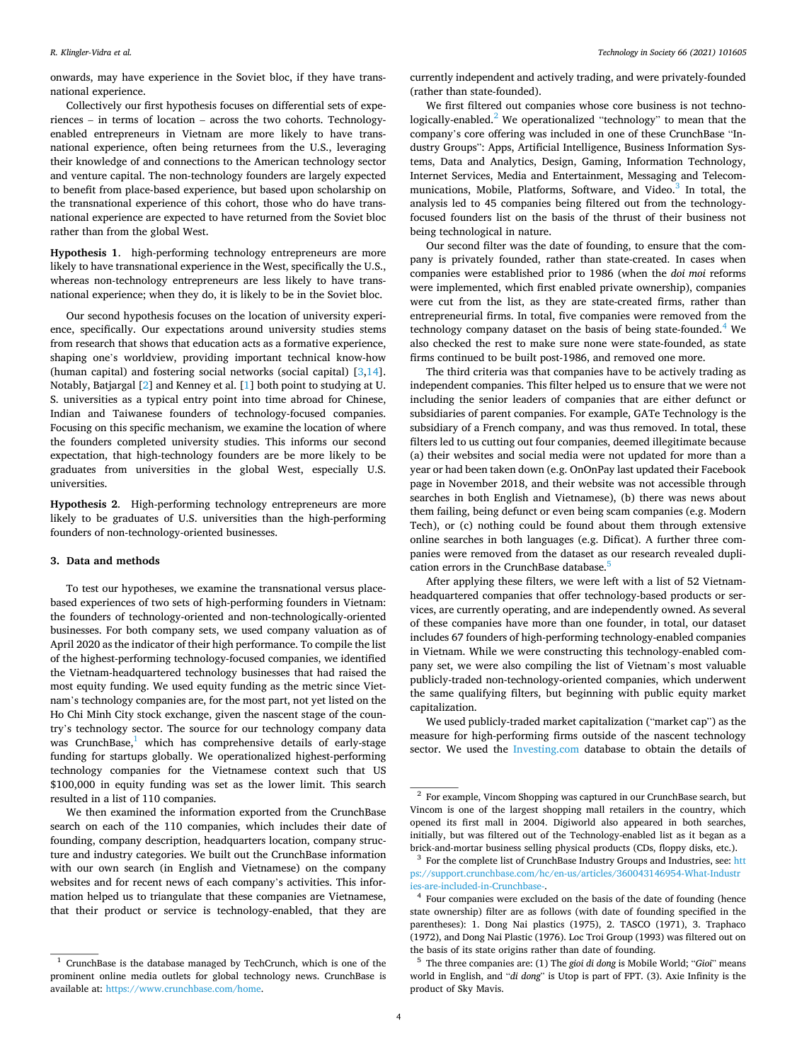<span id="page-4-0"></span>onwards, may have experience in the Soviet bloc, if they have transnational experience.

Collectively our first hypothesis focuses on differential sets of experiences – in terms of location – across the two cohorts. Technologyenabled entrepreneurs in Vietnam are more likely to have transnational experience, often being returnees from the U.S., leveraging their knowledge of and connections to the American technology sector and venture capital. The non-technology founders are largely expected to benefit from place-based experience, but based upon scholarship on the transnational experience of this cohort, those who do have transnational experience are expected to have returned from the Soviet bloc rather than from the global West.

**Hypothesis 1**. high-performing technology entrepreneurs are more likely to have transnational experience in the West, specifically the U.S., whereas non-technology entrepreneurs are less likely to have transnational experience; when they do, it is likely to be in the Soviet bloc.

Our second hypothesis focuses on the location of university experience, specifically. Our expectations around university studies stems from research that shows that education acts as a formative experience, shaping one's worldview, providing important technical know-how (human capital) and fostering social networks (social capital) [\[3,](#page-10-0)[14](#page-11-0)]. Notably, Batjargal [[2](#page-10-0)] and Kenney et al. [\[1\]](#page-10-0) both point to studying at U. S. universities as a typical entry point into time abroad for Chinese, Indian and Taiwanese founders of technology-focused companies. Focusing on this specific mechanism, we examine the location of where the founders completed university studies. This informs our second expectation, that high-technology founders are be more likely to be graduates from universities in the global West, especially U.S. universities.

**Hypothesis 2**. High-performing technology entrepreneurs are more likely to be graduates of U.S. universities than the high-performing founders of non-technology-oriented businesses.

#### **3. Data and methods**

To test our hypotheses, we examine the transnational versus placebased experiences of two sets of high-performing founders in Vietnam: the founders of technology-oriented and non-technologically-oriented businesses. For both company sets, we used company valuation as of April 2020 as the indicator of their high performance. To compile the list of the highest-performing technology-focused companies, we identified the Vietnam-headquartered technology businesses that had raised the most equity funding. We used equity funding as the metric since Vietnam's technology companies are, for the most part, not yet listed on the Ho Chi Minh City stock exchange, given the nascent stage of the country's technology sector. The source for our technology company data was CrunchBase, $<sup>1</sup>$  which has comprehensive details of early-stage</sup> funding for startups globally. We operationalized highest-performing technology companies for the Vietnamese context such that US \$100,000 in equity funding was set as the lower limit. This search resulted in a list of 110 companies.

We then examined the information exported from the CrunchBase search on each of the 110 companies, which includes their date of founding, company description, headquarters location, company structure and industry categories. We built out the CrunchBase information with our own search (in English and Vietnamese) on the company websites and for recent news of each company's activities. This information helped us to triangulate that these companies are Vietnamese, that their product or service is technology-enabled, that they are currently independent and actively trading, and were privately-founded (rather than state-founded).

We first filtered out companies whose core business is not technologically-enabled. $^{2}$  We operationalized "technology" to mean that the company's core offering was included in one of these CrunchBase "Industry Groups": Apps, Artificial Intelligence, Business Information Systems, Data and Analytics, Design, Gaming, Information Technology, Internet Services, Media and Entertainment, Messaging and Telecommunications, Mobile, Platforms, Software, and Video.<sup>3</sup> In total, the analysis led to 45 companies being filtered out from the technologyfocused founders list on the basis of the thrust of their business not being technological in nature.

Our second filter was the date of founding, to ensure that the company is privately founded, rather than state-created. In cases when companies were established prior to 1986 (when the *doi moi* reforms were implemented, which first enabled private ownership), companies were cut from the list, as they are state-created firms, rather than entrepreneurial firms. In total, five companies were removed from the technology company dataset on the basis of being state-founded.<sup>4</sup> We also checked the rest to make sure none were state-founded, as state firms continued to be built post-1986, and removed one more.

The third criteria was that companies have to be actively trading as independent companies. This filter helped us to ensure that we were not including the senior leaders of companies that are either defunct or subsidiaries of parent companies. For example, GATe Technology is the subsidiary of a French company, and was thus removed. In total, these filters led to us cutting out four companies, deemed illegitimate because (a) their websites and social media were not updated for more than a year or had been taken down (e.g. OnOnPay last updated their Facebook page in November 2018, and their website was not accessible through searches in both English and Vietnamese), (b) there was news about them failing, being defunct or even being scam companies (e.g. Modern Tech), or (c) nothing could be found about them through extensive online searches in both languages (e.g. Dificat). A further three companies were removed from the dataset as our research revealed duplication errors in the CrunchBase database.<sup>5</sup>

After applying these filters, we were left with a list of 52 Vietnamheadquartered companies that offer technology-based products or services, are currently operating, and are independently owned. As several of these companies have more than one founder, in total, our dataset includes 67 founders of high-performing technology-enabled companies in Vietnam. While we were constructing this technology-enabled company set, we were also compiling the list of Vietnam's most valuable publicly-traded non-technology-oriented companies, which underwent the same qualifying filters, but beginning with public equity market capitalization.

We used publicly-traded market capitalization ("market cap") as the measure for high-performing firms outside of the nascent technology sector. We used the [Investing.com](http://Investing.com) database to obtain the details of

<sup>1</sup> CrunchBase is the database managed by TechCrunch, which is one of the prominent online media outlets for global technology news. CrunchBase is available at: <https://www.crunchbase.com/home>.

<sup>&</sup>lt;sup>2</sup> For example, Vincom Shopping was captured in our CrunchBase search, but Vincom is one of the largest shopping mall retailers in the country, which opened its first mall in 2004. Digiworld also appeared in both searches, initially, but was filtered out of the Technology-enabled list as it began as a brick-and-mortar business selling physical products (CDs, floppy disks, etc.). 3 For the complete list of CrunchBase Industry Groups and Industries, see: [htt](https://support.crunchbase.com/hc/en-us/articles/360043146954-What-Industries-are-included-in-Crunchbase-) 

[ps://support.crunchbase.com/hc/en-us/articles/360043146954-What-Industr](https://support.crunchbase.com/hc/en-us/articles/360043146954-What-Industries-are-included-in-Crunchbase-) 

 $<sup>4</sup>$  Four companies were excluded on the basis of the date of founding (hence</sup> state ownership) filter are as follows (with date of founding specified in the parentheses): 1. Dong Nai plastics (1975), 2. TASCO (1971), 3. Traphaco (1972), and Dong Nai Plastic (1976). Loc Troi Group (1993) was filtered out on the basis of its state origins rather than date of founding. 5 The three companies are: (1) The *gioi di dong* is Mobile World; "*Gioi*" means

world in English, and "*di dong*" is Utop is part of FPT. (3). Axie Infinity is the product of Sky Mavis.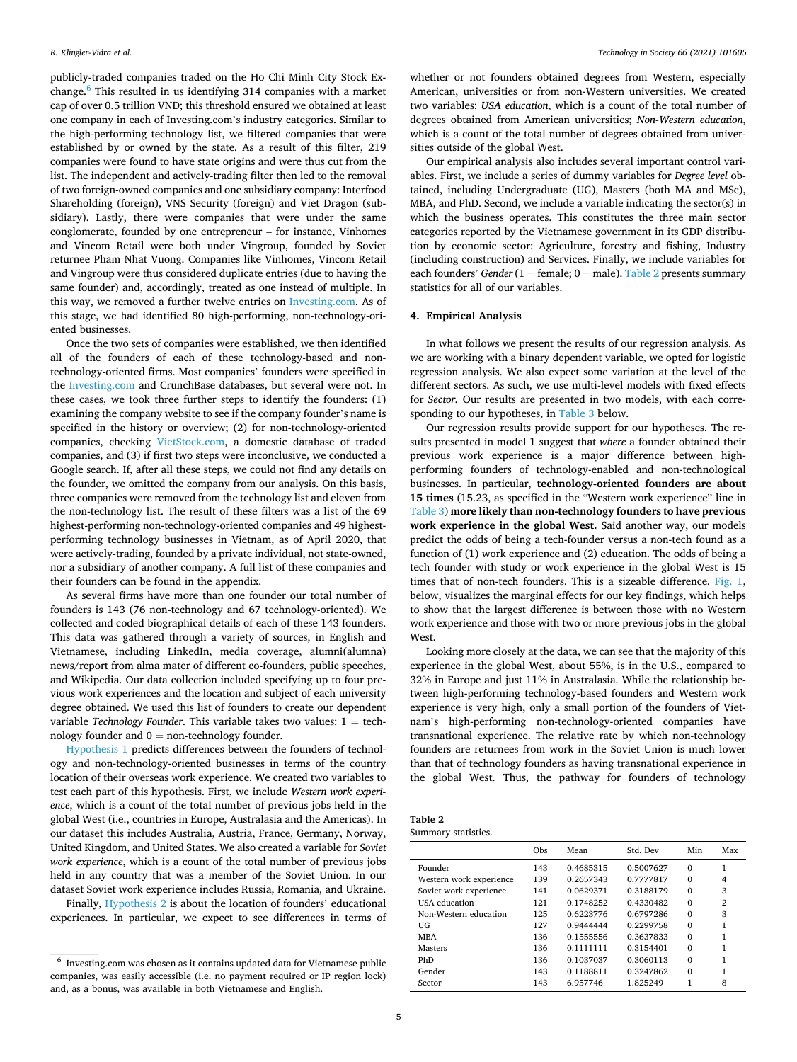publicly-traded companies traded on the Ho Chi Minh City Stock Exchange.6 This resulted in us identifying 314 companies with a market cap of over 0.5 trillion VND; this threshold ensured we obtained at least one company in each of Investing.com's industry categories. Similar to the high-performing technology list, we filtered companies that were established by or owned by the state. As a result of this filter, 219 companies were found to have state origins and were thus cut from the list. The independent and actively-trading filter then led to the removal of two foreign-owned companies and one subsidiary company: Interfood Shareholding (foreign), VNS Security (foreign) and Viet Dragon (subsidiary). Lastly, there were companies that were under the same conglomerate, founded by one entrepreneur – for instance, Vinhomes and Vincom Retail were both under Vingroup, founded by Soviet returnee Pham Nhat Vuong. Companies like Vinhomes, Vincom Retail and Vingroup were thus considered duplicate entries (due to having the same founder) and, accordingly, treated as one instead of multiple. In this way, we removed a further twelve entries on [Investing.com.](http://Investing.com) As of this stage, we had identified 80 high-performing, non-technology-oriented businesses.

Once the two sets of companies were established, we then identified all of the founders of each of these technology-based and nontechnology-oriented firms. Most companies' founders were specified in the [Investing.com](http://Investing.com) and CrunchBase databases, but several were not. In these cases, we took three further steps to identify the founders: (1) examining the company website to see if the company founder's name is specified in the history or overview; (2) for non-technology-oriented companies, checking [VietStock.com,](http://VietStock.com) a domestic database of traded companies, and (3) if first two steps were inconclusive, we conducted a Google search. If, after all these steps, we could not find any details on the founder, we omitted the company from our analysis. On this basis, three companies were removed from the technology list and eleven from the non-technology list. The result of these filters was a list of the 69 highest-performing non-technology-oriented companies and 49 highestperforming technology businesses in Vietnam, as of April 2020, that were actively-trading, founded by a private individual, not state-owned, nor a subsidiary of another company. A full list of these companies and their founders can be found in the appendix.

As several firms have more than one founder our total number of founders is 143 (76 non-technology and 67 technology-oriented). We collected and coded biographical details of each of these 143 founders. This data was gathered through a variety of sources, in English and Vietnamese, including LinkedIn, media coverage, alumni(alumna) news/report from alma mater of different co-founders, public speeches, and Wikipedia. Our data collection included specifying up to four previous work experiences and the location and subject of each university degree obtained. We used this list of founders to create our dependent variable *Technology Founder*. This variable takes two values:  $1 = \text{tech}$ nology founder and  $0 =$  non-technology founder.

Hypothesis 1 predicts differences between the founders of technology and non-technology-oriented businesses in terms of the country location of their overseas work experience. We created two variables to test each part of this hypothesis. First, we include *Western work experience*, which is a count of the total number of previous jobs held in the global West (i.e., countries in Europe, Australasia and the Americas). In our dataset this includes Australia, Austria, France, Germany, Norway, United Kingdom, and United States. We also created a variable for *Soviet work experience*, which is a count of the total number of previous jobs held in any country that was a member of the Soviet Union. In our dataset Soviet work experience includes Russia, Romania, and Ukraine.

Finally, Hypothesis 2 is about the location of founders' educational experiences. In particular, we expect to see differences in terms of whether or not founders obtained degrees from Western, especially American, universities or from non-Western universities. We created two variables: *USA education*, which is a count of the total number of degrees obtained from American universities; *Non-Western education*, which is a count of the total number of degrees obtained from universities outside of the global West.

Our empirical analysis also includes several important control variables. First, we include a series of dummy variables for *Degree level* obtained, including Undergraduate (UG), Masters (both MA and MSc), MBA, and PhD. Second, we include a variable indicating the sector(s) in which the business operates. This constitutes the three main sector categories reported by the Vietnamese government in its GDP distribution by economic sector: Agriculture, forestry and fishing, Industry (including construction) and Services. Finally, we include variables for each founders' *Gender* (1 = female;  $0$  = male). Table 2 presents summary statistics for all of our variables.

# **4. Empirical Analysis**

In what follows we present the results of our regression analysis. As we are working with a binary dependent variable, we opted for logistic regression analysis. We also expect some variation at the level of the different sectors. As such, we use multi-level models with fixed effects for *Sector.* Our results are presented in two models, with each corresponding to our hypotheses, in [Table 3](#page-6-0) below.

Our regression results provide support for our hypotheses. The results presented in model 1 suggest that *where* a founder obtained their previous work experience is a major difference between highperforming founders of technology-enabled and non-technological businesses. In particular, **technology-oriented founders are about 15 times** (15.23, as specified in the "Western work experience" line in [Table 3](#page-6-0)) **more likely than non-technology founders to have previous work experience in the global West.** Said another way, our models predict the odds of being a tech-founder versus a non-tech found as a function of (1) work experience and (2) education. The odds of being a tech founder with study or work experience in the global West is 15 times that of non-tech founders. This is a sizeable difference. [Fig. 1](#page-6-0), below, visualizes the marginal effects for our key findings, which helps to show that the largest difference is between those with no Western work experience and those with two or more previous jobs in the global **West** 

Looking more closely at the data, we can see that the majority of this experience in the global West, about 55%, is in the U.S., compared to 32% in Europe and just 11% in Australasia. While the relationship between high-performing technology-based founders and Western work experience is very high, only a small portion of the founders of Vietnam's high-performing non-technology-oriented companies have transnational experience. The relative rate by which non-technology founders are returnees from work in the Soviet Union is much lower than that of technology founders as having transnational experience in the global West. Thus, the pathway for founders of technology

| Table 2             |  |
|---------------------|--|
| Summary statistics. |  |

|                         | Obs | Mean      | Std. Dev  | Min      | Max |
|-------------------------|-----|-----------|-----------|----------|-----|
| Founder                 | 143 | 0.4685315 | 0.5007627 | $\Omega$ | 1   |
| Western work experience | 139 | 0.2657343 | 0.7777817 | $\Omega$ | 4   |
| Soviet work experience  | 141 | 0.0629371 | 0.3188179 | $\Omega$ | 3   |
| USA education           | 121 | 0.1748252 | 0.4330482 | $\Omega$ | 2   |
| Non-Western education   | 125 | 0.6223776 | 0.6797286 | $\Omega$ | 3   |
| UG                      | 127 | 0.9444444 | 0.2299758 | $\Omega$ | 1   |
| <b>MBA</b>              | 136 | 0.1555556 | 0.3637833 | $\Omega$ | 1   |
| Masters                 | 136 | 0.1111111 | 0.3154401 | $\Omega$ | 1   |
| PhD                     | 136 | 0.1037037 | 0.3060113 | $\Omega$ | 1   |
| Gender                  | 143 | 0.1188811 | 0.3247862 | $\Omega$ | 1   |
| Sector                  | 143 | 6.957746  | 1.825249  |          | 8   |

<sup>6</sup> Investing.com was chosen as it contains updated data for Vietnamese public companies, was easily accessible (i.e. no payment required or IP region lock) and, as a bonus, was available in both Vietnamese and English.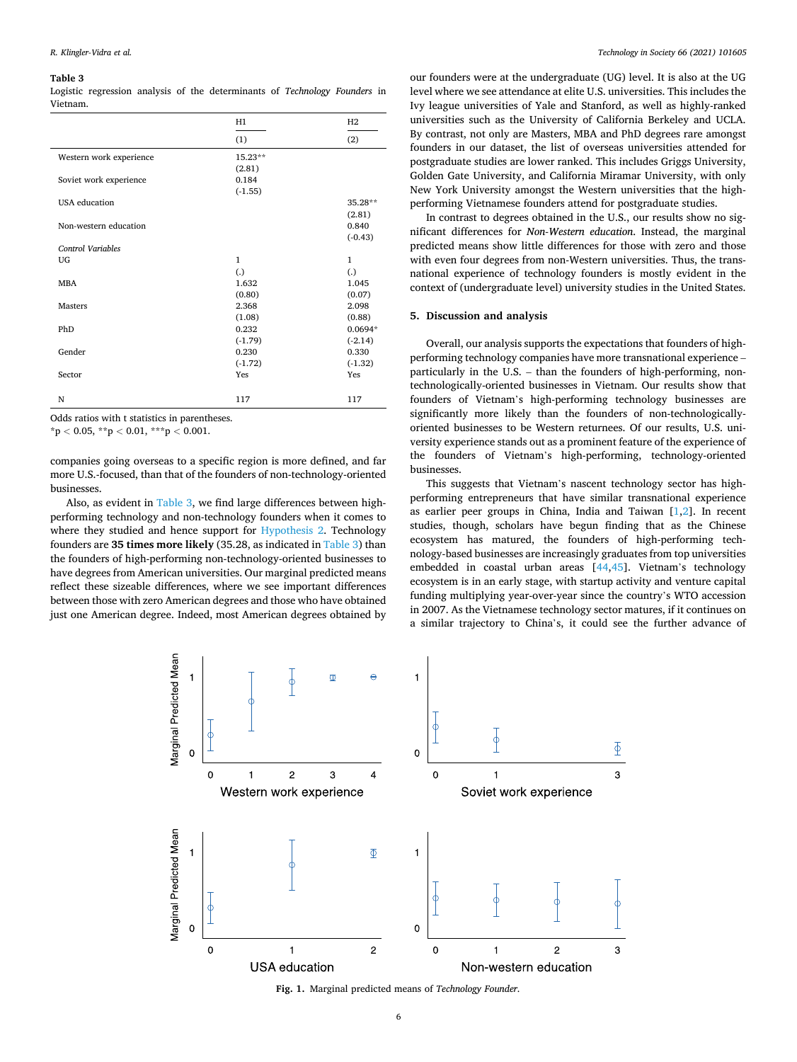#### <span id="page-6-0"></span>**Table 3**

Logistic regression analysis of the determinants of *Technology Founders* in Vietnam.

|                          | H1           | H2        |
|--------------------------|--------------|-----------|
|                          | (1)          | (2)       |
| Western work experience  | 15.23**      |           |
|                          | (2.81)       |           |
| Soviet work experience   | 0.184        |           |
|                          | $(-1.55)$    |           |
| <b>USA</b> education     |              | 35.28**   |
|                          |              | (2.81)    |
| Non-western education    |              | 0.840     |
|                          |              | $(-0.43)$ |
| <b>Control Variables</b> |              |           |
| UG                       | $\mathbf{1}$ | 1         |
|                          | (.)          | (.)       |
| <b>MBA</b>               | 1.632        | 1.045     |
|                          | (0.80)       | (0.07)    |
| <b>Masters</b>           | 2.368        | 2.098     |
|                          | (1.08)       | (0.88)    |
| PhD                      | 0.232        | $0.0694*$ |
|                          | $(-1.79)$    | $(-2.14)$ |
| Gender                   | 0.230        | 0.330     |
|                          | $(-1.72)$    | $(-1.32)$ |
| Sector                   | Yes          | Yes       |
|                          |              |           |
| N                        | 117          | 117       |

Odds ratios with t statistics in parentheses.

\*p *<* 0.05, \*\*p *<* 0.01, \*\*\*p *<* 0.001.

companies going overseas to a specific region is more defined, and far more U.S.-focused, than that of the founders of non-technology-oriented businesses.

Also, as evident in Table 3, we find large differences between highperforming technology and non-technology founders when it comes to where they studied and hence support for Hypothesis 2. Technology founders are **35 times more likely** (35.28, as indicated in Table 3) than the founders of high-performing non-technology-oriented businesses to have degrees from American universities. Our marginal predicted means reflect these sizeable differences, where we see important differences between those with zero American degrees and those who have obtained just one American degree. Indeed, most American degrees obtained by

our founders were at the undergraduate (UG) level. It is also at the UG level where we see attendance at elite U.S. universities. This includes the Ivy league universities of Yale and Stanford, as well as highly-ranked universities such as the University of California Berkeley and UCLA. By contrast, not only are Masters, MBA and PhD degrees rare amongst founders in our dataset, the list of overseas universities attended for postgraduate studies are lower ranked. This includes Griggs University, Golden Gate University, and California Miramar University, with only New York University amongst the Western universities that the highperforming Vietnamese founders attend for postgraduate studies.

In contrast to degrees obtained in the U.S., our results show no significant differences for *Non-Western education*. Instead, the marginal predicted means show little differences for those with zero and those with even four degrees from non-Western universities. Thus, the transnational experience of technology founders is mostly evident in the context of (undergraduate level) university studies in the United States.

# **5. Discussion and analysis**

Overall, our analysis supports the expectations that founders of highperforming technology companies have more transnational experience – particularly in the U.S. – than the founders of high-performing, nontechnologically-oriented businesses in Vietnam. Our results show that founders of Vietnam's high-performing technology businesses are significantly more likely than the founders of non-technologicallyoriented businesses to be Western returnees. Of our results, U.S. university experience stands out as a prominent feature of the experience of the founders of Vietnam's high-performing, technology-oriented businesses.

This suggests that Vietnam's nascent technology sector has highperforming entrepreneurs that have similar transnational experience as earlier peer groups in China, India and Taiwan  $[1,2]$  $[1,2]$ . In recent studies, though, scholars have begun finding that as the Chinese ecosystem has matured, the founders of high-performing technology-based businesses are increasingly graduates from top universities embedded in coastal urban areas [[44,45](#page-11-0)]. Vietnam's technology ecosystem is in an early stage, with startup activity and venture capital funding multiplying year-over-year since the country's WTO accession in 2007. As the Vietnamese technology sector matures, if it continues on a similar trajectory to China's, it could see the further advance of



**Fig. 1.** Marginal predicted means of *Technology Founder*.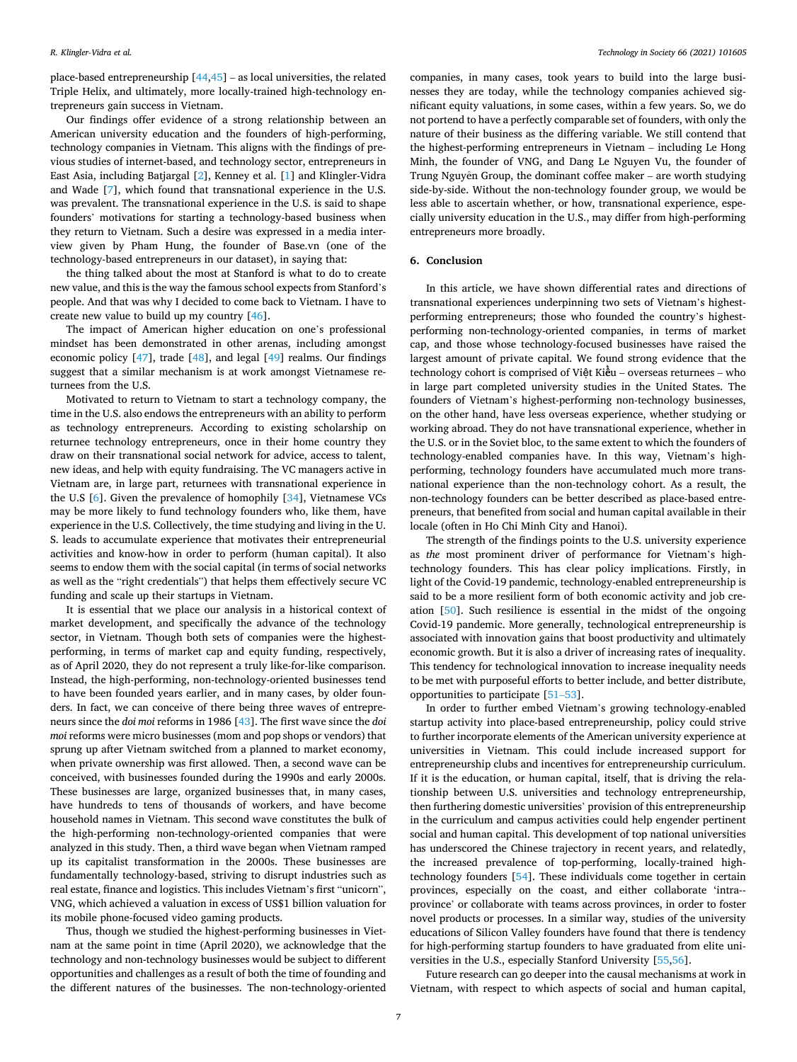place-based entrepreneurship [\[44](#page-11-0),[45\]](#page-11-0) – as local universities, the related Triple Helix, and ultimately, more locally-trained high-technology entrepreneurs gain success in Vietnam.

Our findings offer evidence of a strong relationship between an American university education and the founders of high-performing, technology companies in Vietnam. This aligns with the findings of previous studies of internet-based, and technology sector, entrepreneurs in East Asia, including Batjargal [[2](#page-10-0)], Kenney et al. [[1](#page-10-0)] and Klingler-Vidra and Wade [\[7\]](#page-11-0), which found that transnational experience in the U.S. was prevalent. The transnational experience in the U.S. is said to shape founders' motivations for starting a technology-based business when they return to Vietnam. Such a desire was expressed in a media interview given by Pham Hung, the founder of Base.vn (one of the technology-based entrepreneurs in our dataset), in saying that:

the thing talked about the most at Stanford is what to do to create new value, and this is the way the famous school expects from Stanford's people. And that was why I decided to come back to Vietnam. I have to create new value to build up my country [[46\]](#page-11-0).

The impact of American higher education on one's professional mindset has been demonstrated in other arenas, including amongst economic policy [[47\]](#page-11-0), trade [[48\]](#page-11-0), and legal [\[49](#page-11-0)] realms. Our findings suggest that a similar mechanism is at work amongst Vietnamese returnees from the U.S.

Motivated to return to Vietnam to start a technology company, the time in the U.S. also endows the entrepreneurs with an ability to perform as technology entrepreneurs. According to existing scholarship on returnee technology entrepreneurs, once in their home country they draw on their transnational social network for advice, access to talent, new ideas, and help with equity fundraising. The VC managers active in Vietnam are, in large part, returnees with transnational experience in the U.S [[6](#page-11-0)]. Given the prevalence of homophily [\[34](#page-11-0)], Vietnamese VCs may be more likely to fund technology founders who, like them, have experience in the U.S. Collectively, the time studying and living in the U. S. leads to accumulate experience that motivates their entrepreneurial activities and know-how in order to perform (human capital). It also seems to endow them with the social capital (in terms of social networks as well as the "right credentials") that helps them effectively secure VC funding and scale up their startups in Vietnam.

It is essential that we place our analysis in a historical context of market development, and specifically the advance of the technology sector, in Vietnam. Though both sets of companies were the highestperforming, in terms of market cap and equity funding, respectively, as of April 2020, they do not represent a truly like-for-like comparison. Instead, the high-performing, non-technology-oriented businesses tend to have been founded years earlier, and in many cases, by older founders. In fact, we can conceive of there being three waves of entrepreneurs since the *doi moi* reforms in 1986 [\[43](#page-11-0)]. The first wave since the *doi moi* reforms were micro businesses (mom and pop shops or vendors) that sprung up after Vietnam switched from a planned to market economy, when private ownership was first allowed. Then, a second wave can be conceived, with businesses founded during the 1990s and early 2000s. These businesses are large, organized businesses that, in many cases, have hundreds to tens of thousands of workers, and have become household names in Vietnam. This second wave constitutes the bulk of the high-performing non-technology-oriented companies that were analyzed in this study. Then, a third wave began when Vietnam ramped up its capitalist transformation in the 2000s. These businesses are fundamentally technology-based, striving to disrupt industries such as real estate, finance and logistics. This includes Vietnam's first "unicorn", VNG, which achieved a valuation in excess of US\$1 billion valuation for its mobile phone-focused video gaming products.

Thus, though we studied the highest-performing businesses in Vietnam at the same point in time (April 2020), we acknowledge that the technology and non-technology businesses would be subject to different opportunities and challenges as a result of both the time of founding and the different natures of the businesses. The non-technology-oriented

companies, in many cases, took years to build into the large businesses they are today, while the technology companies achieved significant equity valuations, in some cases, within a few years. So, we do not portend to have a perfectly comparable set of founders, with only the nature of their business as the differing variable. We still contend that the highest-performing entrepreneurs in Vietnam – including Le Hong Minh, the founder of VNG, and Dang Le Nguyen Vu, the founder of Trung Nguyên Group, the dominant coffee maker  $-$  are worth studying side-by-side. Without the non-technology founder group, we would be less able to ascertain whether, or how, transnational experience, especially university education in the U.S., may differ from high-performing entrepreneurs more broadly.

### **6. Conclusion**

In this article, we have shown differential rates and directions of transnational experiences underpinning two sets of Vietnam's highestperforming entrepreneurs; those who founded the country's highestperforming non-technology-oriented companies, in terms of market cap, and those whose technology-focused businesses have raised the largest amount of private capital. We found strong evidence that the technology cohort is comprised of Việt Kiều - overseas returnees - who in large part completed university studies in the United States. The founders of Vietnam's highest-performing non-technology businesses, on the other hand, have less overseas experience, whether studying or working abroad. They do not have transnational experience, whether in the U.S. or in the Soviet bloc, to the same extent to which the founders of technology-enabled companies have. In this way, Vietnam's highperforming, technology founders have accumulated much more transnational experience than the non-technology cohort. As a result, the non-technology founders can be better described as place-based entrepreneurs, that benefited from social and human capital available in their locale (often in Ho Chi Minh City and Hanoi).

The strength of the findings points to the U.S. university experience as *the* most prominent driver of performance for Vietnam's hightechnology founders. This has clear policy implications. Firstly, in light of the Covid-19 pandemic, technology-enabled entrepreneurship is said to be a more resilient form of both economic activity and job creation [\[50](#page-11-0)]. Such resilience is essential in the midst of the ongoing Covid-19 pandemic. More generally, technological entrepreneurship is associated with innovation gains that boost productivity and ultimately economic growth. But it is also a driver of increasing rates of inequality. This tendency for technological innovation to increase inequality needs to be met with purposeful efforts to better include, and better distribute, opportunities to participate [\[51](#page-11-0)–53].

In order to further embed Vietnam's growing technology-enabled startup activity into place-based entrepreneurship, policy could strive to further incorporate elements of the American university experience at universities in Vietnam. This could include increased support for entrepreneurship clubs and incentives for entrepreneurship curriculum. If it is the education, or human capital, itself, that is driving the relationship between U.S. universities and technology entrepreneurship, then furthering domestic universities' provision of this entrepreneurship in the curriculum and campus activities could help engender pertinent social and human capital. This development of top national universities has underscored the Chinese trajectory in recent years, and relatedly, the increased prevalence of top-performing, locally-trained hightechnology founders [[54\]](#page-11-0). These individuals come together in certain provinces, especially on the coast, and either collaborate 'intra-province' or collaborate with teams across provinces, in order to foster novel products or processes. In a similar way, studies of the university educations of Silicon Valley founders have found that there is tendency for high-performing startup founders to have graduated from elite universities in the U.S., especially Stanford University [\[55](#page-11-0),[56](#page-11-0)].

Future research can go deeper into the causal mechanisms at work in Vietnam, with respect to which aspects of social and human capital,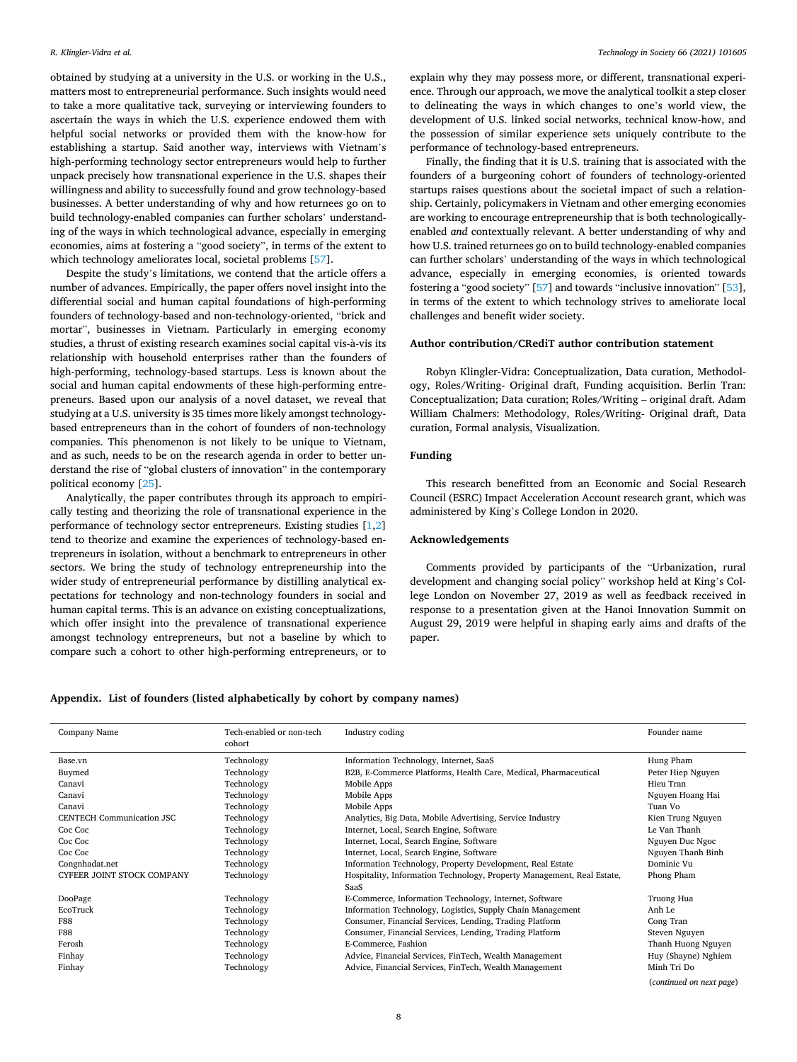<span id="page-8-0"></span>obtained by studying at a university in the U.S. or working in the U.S., matters most to entrepreneurial performance. Such insights would need to take a more qualitative tack, surveying or interviewing founders to ascertain the ways in which the U.S. experience endowed them with helpful social networks or provided them with the know-how for establishing a startup. Said another way, interviews with Vietnam's high-performing technology sector entrepreneurs would help to further unpack precisely how transnational experience in the U.S. shapes their willingness and ability to successfully found and grow technology-based businesses. A better understanding of why and how returnees go on to build technology-enabled companies can further scholars' understanding of the ways in which technological advance, especially in emerging economies, aims at fostering a "good society", in terms of the extent to which technology ameliorates local, societal problems [[57\]](#page-11-0).

Despite the study's limitations, we contend that the article offers a number of advances. Empirically, the paper offers novel insight into the differential social and human capital foundations of high-performing founders of technology-based and non-technology-oriented, "brick and mortar", businesses in Vietnam. Particularly in emerging economy studies, a thrust of existing research examines social capital vis-à-vis its relationship with household enterprises rather than the founders of high-performing, technology-based startups. Less is known about the social and human capital endowments of these high-performing entrepreneurs. Based upon our analysis of a novel dataset, we reveal that studying at a U.S. university is 35 times more likely amongst technologybased entrepreneurs than in the cohort of founders of non-technology companies. This phenomenon is not likely to be unique to Vietnam, and as such, needs to be on the research agenda in order to better understand the rise of "global clusters of innovation" in the contemporary political economy [\[25](#page-11-0)].

Analytically, the paper contributes through its approach to empirically testing and theorizing the role of transnational experience in the performance of technology sector entrepreneurs. Existing studies [\[1,2](#page-10-0)] tend to theorize and examine the experiences of technology-based entrepreneurs in isolation, without a benchmark to entrepreneurs in other sectors. We bring the study of technology entrepreneurship into the wider study of entrepreneurial performance by distilling analytical expectations for technology and non-technology founders in social and human capital terms. This is an advance on existing conceptualizations, which offer insight into the prevalence of transnational experience amongst technology entrepreneurs, but not a baseline by which to compare such a cohort to other high-performing entrepreneurs, or to

explain why they may possess more, or different, transnational experience. Through our approach, we move the analytical toolkit a step closer to delineating the ways in which changes to one's world view, the development of U.S. linked social networks, technical know-how, and the possession of similar experience sets uniquely contribute to the performance of technology-based entrepreneurs.

Finally, the finding that it is U.S. training that is associated with the founders of a burgeoning cohort of founders of technology-oriented startups raises questions about the societal impact of such a relationship. Certainly, policymakers in Vietnam and other emerging economies are working to encourage entrepreneurship that is both technologicallyenabled *and* contextually relevant. A better understanding of why and how U.S. trained returnees go on to build technology-enabled companies can further scholars' understanding of the ways in which technological advance, especially in emerging economies, is oriented towards fostering a "good society" [[57\]](#page-11-0) and towards "inclusive innovation" [\[53](#page-11-0)], in terms of the extent to which technology strives to ameliorate local challenges and benefit wider society.

# **Author contribution/CRediT author contribution statement**

Robyn Klingler-Vidra: Conceptualization, Data curation, Methodology, Roles/Writing- Original draft, Funding acquisition. Berlin Tran: Conceptualization; Data curation; Roles/Writing – original draft. Adam William Chalmers: Methodology, Roles/Writing- Original draft, Data curation, Formal analysis, Visualization.

## **Funding**

This research benefitted from an Economic and Social Research Council (ESRC) Impact Acceleration Account research grant, which was administered by King's College London in 2020.

# **Acknowledgements**

Comments provided by participants of the "Urbanization, rural development and changing social policy" workshop held at King's College London on November 27, 2019 as well as feedback received in response to a presentation given at the Hanoi Innovation Summit on August 29, 2019 were helpful in shaping early aims and drafts of the paper.

# **Appendix. List of founders (listed alphabetically by cohort by company names)**

| Company Name                      | Tech-enabled or non-tech<br>cohort | Industry coding                                                                | Founder name             |
|-----------------------------------|------------------------------------|--------------------------------------------------------------------------------|--------------------------|
| Base.vn                           | Technology                         | Information Technology, Internet, SaaS                                         | Hung Pham                |
| Buymed                            | Technology                         | B2B, E-Commerce Platforms, Health Care, Medical, Pharmaceutical                | Peter Hiep Nguyen        |
| Canavi                            | Technology                         | Mobile Apps                                                                    | Hieu Tran                |
| Canavi                            | Technology                         | Mobile Apps                                                                    | Nguyen Hoang Hai         |
| Canavi                            | Technology                         | Mobile Apps                                                                    | Tuan Vo                  |
| <b>CENTECH Communication JSC</b>  | Technology                         | Analytics, Big Data, Mobile Advertising, Service Industry                      | Kien Trung Nguyen        |
| Coc Coc                           | Technology                         | Internet, Local, Search Engine, Software                                       | Le Van Thanh             |
| Coc Coc                           | Technology                         | Internet, Local, Search Engine, Software                                       | Nguyen Duc Ngoc          |
| Coc Coc                           | Technology                         | Internet, Local, Search Engine, Software                                       | Nguyen Thanh Binh        |
| Congnhadat.net                    | Technology                         | Information Technology, Property Development, Real Estate                      | Dominic Vu               |
| <b>CYFEER JOINT STOCK COMPANY</b> | Technology                         | Hospitality, Information Technology, Property Management, Real Estate,<br>SaaS | Phong Pham               |
| DooPage                           | Technology                         | E-Commerce, Information Technology, Internet, Software                         | Truong Hua               |
| EcoTruck                          | Technology                         | Information Technology, Logistics, Supply Chain Management                     | Anh Le                   |
| <b>F88</b>                        | Technology                         | Consumer, Financial Services, Lending, Trading Platform                        | Cong Tran                |
| <b>F88</b>                        | Technology                         | Consumer, Financial Services, Lending, Trading Platform                        | Steven Nguyen            |
| Ferosh                            | Technology                         | E-Commerce, Fashion                                                            | Thanh Huong Nguyen       |
| Finhay                            | Technology                         | Advice, Financial Services, FinTech, Wealth Management                         | Huy (Shayne) Nghiem      |
| Finhay                            | Technology                         | Advice, Financial Services, FinTech, Wealth Management                         | Minh Tri Do              |
|                                   |                                    |                                                                                | (continued on next page) |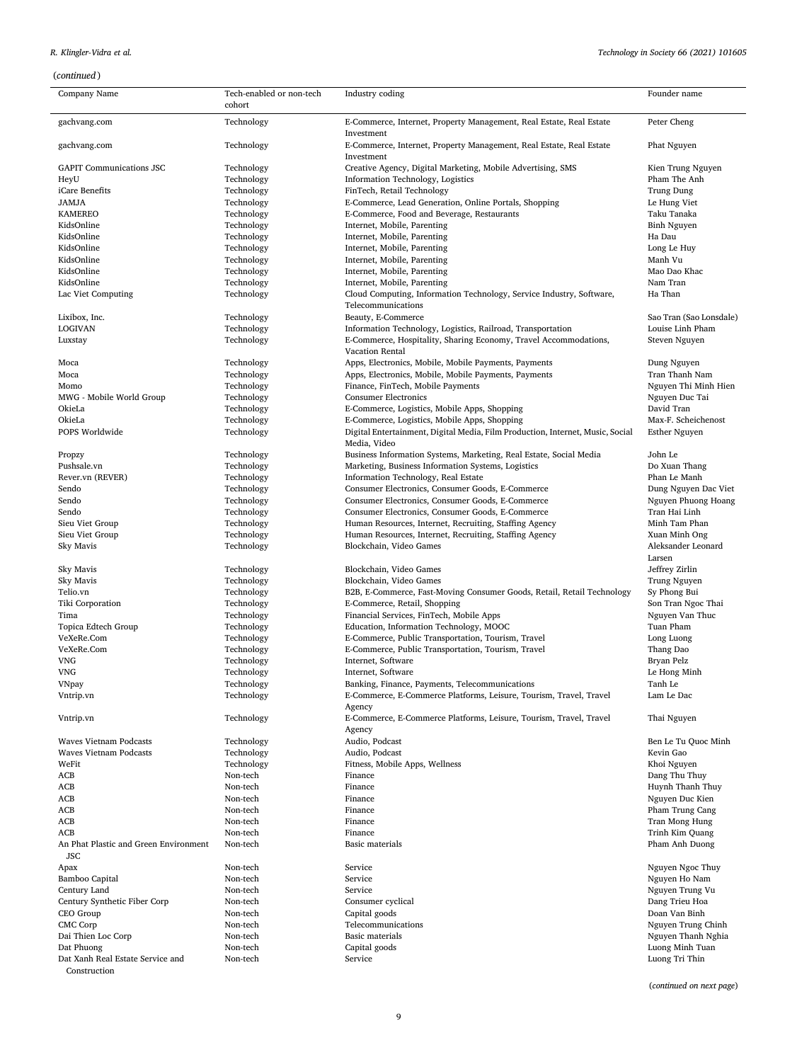# *R. Klingler-Vidra et al.*

| Company Name                                        | Tech-enabled or non-tech<br>cohort | Industry coding                                                                                 | Founder name                 |
|-----------------------------------------------------|------------------------------------|-------------------------------------------------------------------------------------------------|------------------------------|
| gachvang.com                                        | Technology                         | E-Commerce, Internet, Property Management, Real Estate, Real Estate                             | Peter Cheng                  |
| gachvang.com                                        | Technology                         | Investment<br>E-Commerce, Internet, Property Management, Real Estate, Real Estate<br>Investment | Phat Nguyen                  |
| <b>GAPIT Communications JSC</b>                     | Technology                         | Creative Agency, Digital Marketing, Mobile Advertising, SMS                                     | Kien Trung Nguyen            |
| HeyU                                                | Technology                         | Information Technology, Logistics                                                               | Pham The Anh                 |
| iCare Benefits                                      | Technology                         | FinTech, Retail Technology                                                                      | Trung Dung                   |
| <b>JAMJA</b>                                        | Technology                         | E-Commerce, Lead Generation, Online Portals, Shopping                                           | Le Hung Viet                 |
| <b>KAMEREO</b>                                      | Technology                         | E-Commerce, Food and Beverage, Restaurants                                                      | Taku Tanaka                  |
| KidsOnline                                          | Technology                         | Internet, Mobile, Parenting                                                                     | Binh Nguyen                  |
| KidsOnline                                          | Technology                         | Internet, Mobile, Parenting                                                                     | Ha Dau                       |
| KidsOnline                                          | Technology                         | Internet, Mobile, Parenting                                                                     | Long Le Huy                  |
| KidsOnline                                          | Technology                         | Internet, Mobile, Parenting                                                                     | Manh Vu                      |
| KidsOnline                                          | Technology                         | Internet, Mobile, Parenting                                                                     | Mao Dao Khac                 |
| KidsOnline                                          | Technology                         | Internet, Mobile, Parenting                                                                     | Nam Tran                     |
| Lac Viet Computing                                  | Technology                         | Cloud Computing, Information Technology, Service Industry, Software,<br>Telecommunications      | Ha Than                      |
| Lixibox, Inc.                                       | Technology                         | Beauty, E-Commerce                                                                              | Sao Tran (Sao Lonsdale)      |
| <b>LOGIVAN</b>                                      | Technology                         | Information Technology, Logistics, Railroad, Transportation                                     | Louise Linh Pham             |
| Luxstay                                             | Technology                         | E-Commerce, Hospitality, Sharing Economy, Travel Accommodations,                                | Steven Nguyen                |
| Moca                                                | Technology                         | Vacation Rental<br>Apps, Electronics, Mobile, Mobile Payments, Payments                         | Dung Nguyen                  |
| Moca                                                | Technology                         | Apps, Electronics, Mobile, Mobile Payments, Payments                                            | Tran Thanh Nam               |
| Momo                                                | Technology                         | Finance, FinTech, Mobile Payments                                                               | Nguyen Thi Minh Hien         |
| MWG - Mobile World Group                            | Technology                         | <b>Consumer Electronics</b>                                                                     | Nguyen Duc Tai               |
| OkieLa                                              | Technology                         | E-Commerce, Logistics, Mobile Apps, Shopping                                                    | David Tran                   |
| OkieLa                                              | Technology                         | E-Commerce, Logistics, Mobile Apps, Shopping                                                    | Max-F. Scheichenost          |
| POPS Worldwide                                      | Technology                         | Digital Entertainment, Digital Media, Film Production, Internet, Music, Social<br>Media, Video  | <b>Esther Nguyen</b>         |
| Propzy                                              | Technology                         | Business Information Systems, Marketing, Real Estate, Social Media                              | John Le                      |
| Pushsale.vn                                         | Technology                         | Marketing, Business Information Systems, Logistics                                              | Do Xuan Thang                |
| Rever.vn (REVER)                                    | Technology                         | Information Technology, Real Estate                                                             | Phan Le Manh                 |
| Sendo                                               | Technology                         | Consumer Electronics, Consumer Goods, E-Commerce                                                | Dung Nguyen Dac Viet         |
| Sendo                                               | Technology                         | Consumer Electronics, Consumer Goods, E-Commerce                                                | Nguyen Phuong Hoang          |
| Sendo                                               | Technology                         | Consumer Electronics, Consumer Goods, E-Commerce                                                | Tran Hai Linh                |
| Sieu Viet Group                                     | Technology                         | Human Resources, Internet, Recruiting, Staffing Agency                                          | Minh Tam Phan                |
| Sieu Viet Group                                     | Technology                         | Human Resources, Internet, Recruiting, Staffing Agency                                          | Xuan Minh Ong                |
| Sky Mavis                                           | Technology                         | Blockchain, Video Games                                                                         | Aleksander Leonard<br>Larsen |
| Sky Mavis                                           | Technology                         | Blockchain, Video Games                                                                         | Jeffrey Zirlin               |
| Sky Mavis                                           | Technology                         | Blockchain, Video Games                                                                         | Trung Nguyen                 |
| Telio.vn                                            | Technology                         | B2B, E-Commerce, Fast-Moving Consumer Goods, Retail, Retail Technology                          | Sy Phong Bui                 |
| Tiki Corporation                                    | Technology                         | E-Commerce, Retail, Shopping                                                                    | Son Tran Ngoc Thai           |
| Tima                                                | Technology                         | Financial Services, FinTech, Mobile Apps                                                        | Nguyen Van Thuc              |
| Topica Edtech Group                                 | Technology                         | Education, Information Technology, MOOC                                                         | Tuan Pham                    |
| VeXeRe.Com                                          | Technology                         | E-Commerce, Public Transportation, Tourism, Travel                                              | Long Luong                   |
| VeXeRe.Com                                          | Technology                         | E-Commerce, Public Transportation, Tourism, Travel                                              | Thang Dao                    |
| VNG                                                 | Technology                         | Internet, Software                                                                              | Bryan Pelz                   |
| <b>VNG</b>                                          | Technology                         | Internet, Software                                                                              | Le Hong Minh                 |
| <b>VNpay</b>                                        | Technology                         | Banking, Finance, Payments, Telecommunications                                                  | Tanh Le                      |
| Vntrip.vn                                           | Technology                         | E-Commerce, E-Commerce Platforms, Leisure, Tourism, Travel, Travel<br>Agency                    | Lam Le Dac                   |
| Vntrip.vn                                           | Technology                         | E-Commerce, E-Commerce Platforms, Leisure, Tourism, Travel, Travel<br>Agency                    | Thai Nguyen                  |
| Waves Vietnam Podcasts                              | Technology                         | Audio, Podcast                                                                                  | Ben Le Tu Quoc Minh          |
| <b>Waves Vietnam Podcasts</b>                       | Technology                         | Audio, Podcast                                                                                  | Kevin Gao                    |
| WeFit                                               | Technology                         | Fitness, Mobile Apps, Wellness                                                                  | Khoi Nguyen                  |
| ACB                                                 | Non-tech                           | Finance                                                                                         | Dang Thu Thuy                |
| ACB                                                 | Non-tech                           | Finance                                                                                         | Huynh Thanh Thuy             |
| ACB                                                 | Non-tech                           | Finance                                                                                         | Nguyen Duc Kien              |
| ACB                                                 | Non-tech                           | Finance                                                                                         | Pham Trung Cang              |
| ACB                                                 | Non-tech                           | Finance                                                                                         | Tran Mong Hung               |
| ACB                                                 | Non-tech                           | Finance                                                                                         | Trinh Kim Quang              |
| An Phat Plastic and Green Environment<br><b>JSC</b> | Non-tech                           | Basic materials                                                                                 | Pham Anh Duong               |
| Apax                                                | Non-tech                           | Service                                                                                         | Nguyen Ngoc Thuy             |
| Bamboo Capital                                      | Non-tech                           | Service                                                                                         | Nguyen Ho Nam                |
| Century Land                                        | Non-tech                           | Service                                                                                         | Nguyen Trung Vu              |
| Century Synthetic Fiber Corp                        | Non-tech                           | Consumer cyclical                                                                               | Dang Trieu Hoa               |
| CEO Group                                           | Non-tech                           | Capital goods                                                                                   | Doan Van Binh                |
| CMC Corp                                            | Non-tech                           | Telecommunications                                                                              | Nguyen Trung Chinh           |
| Dai Thien Loc Corp                                  | Non-tech                           | Basic materials                                                                                 | Nguyen Thanh Nghia           |
| Dat Phuong                                          | Non-tech                           | Capital goods                                                                                   | Luong Minh Tuan              |
| Dat Xanh Real Estate Service and<br>Construction    | Non-tech                           | Service                                                                                         | Luong Tri Thin               |

(*continued on next page*)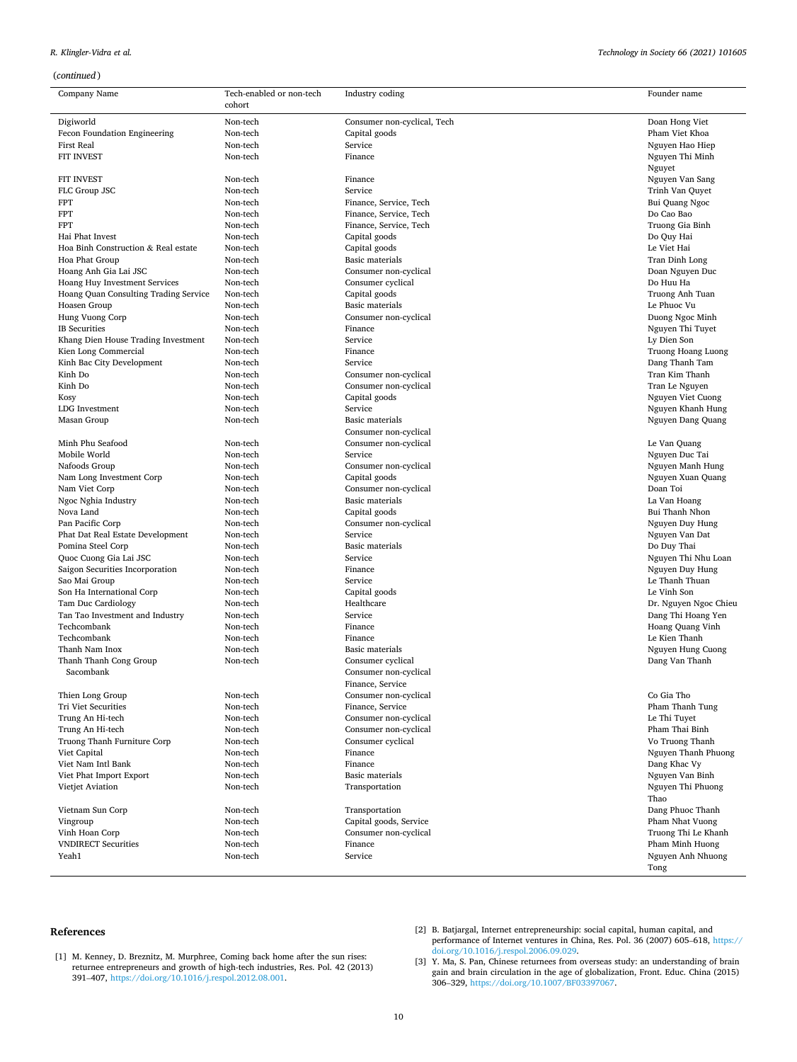# <span id="page-10-0"></span>*R. Klingler-Vidra et al.*

| (continued)                               |                                    |                                                |                                |
|-------------------------------------------|------------------------------------|------------------------------------------------|--------------------------------|
| Company Name                              | Tech-enabled or non-tech<br>cohort | Industry coding                                | Founder name                   |
| Digiworld                                 | Non-tech                           | Consumer non-cyclical, Tech                    | Doan Hong Viet                 |
| Fecon Foundation Engineering              | Non-tech                           | Capital goods                                  | Pham Viet Khoa                 |
| <b>First Real</b>                         | Non-tech                           | Service                                        | Nguyen Hao Hiep                |
| FIT INVEST                                | Non-tech                           | Finance                                        | Nguyen Thi Minh                |
|                                           |                                    |                                                | Nguyet                         |
| <b>FIT INVEST</b>                         | Non-tech                           | Finance                                        | Nguyen Van Sang                |
| FLC Group JSC                             | Non-tech                           | Service                                        | Trinh Van Quyet                |
| <b>FPT</b>                                | Non-tech                           | Finance, Service, Tech                         | Bui Quang Ngoc                 |
| <b>FPT</b>                                | Non-tech                           | Finance, Service, Tech                         | Do Cao Bao                     |
| <b>FPT</b>                                | Non-tech                           | Finance, Service, Tech                         | Truong Gia Binh                |
| Hai Phat Invest                           | Non-tech                           | Capital goods                                  | Do Quy Hai                     |
| Hoa Binh Construction & Real estate       | Non-tech                           | Capital goods                                  | Le Viet Hai                    |
| Hoa Phat Group                            | Non-tech                           | <b>Basic materials</b>                         | Tran Dinh Long                 |
| Hoang Anh Gia Lai JSC                     | Non-tech                           | Consumer non-cyclical                          | Doan Nguyen Duc                |
| Hoang Huy Investment Services             | Non-tech                           | Consumer cyclical                              | Do Huu Ha                      |
| Hoang Quan Consulting Trading Service     | Non-tech                           | Capital goods                                  | Truong Anh Tuan                |
| Hoasen Group                              | Non-tech                           | Basic materials                                | Le Phuoc Vu                    |
| Hung Vuong Corp                           | Non-tech                           | Consumer non-cyclical                          | Duong Ngoc Minh                |
| <b>IB</b> Securities                      | Non-tech                           | Finance                                        | Nguyen Thi Tuyet               |
| Khang Dien House Trading Investment       | Non-tech                           | Service                                        | Ly Dien Son                    |
| Kien Long Commercial                      | Non-tech                           | Finance                                        | Truong Hoang Luong             |
| Kinh Bac City Development                 | Non-tech                           | Service                                        | Dang Thanh Tam                 |
| Kinh Do                                   | Non-tech                           | Consumer non-cyclical                          | Tran Kim Thanh                 |
| Kinh Do                                   | Non-tech                           | Consumer non-cyclical                          | Tran Le Nguyen                 |
| Kosy                                      | Non-tech                           | Capital goods                                  | Nguyen Viet Cuong              |
| LDG Investment                            | Non-tech                           | Service                                        | Nguyen Khanh Hung              |
| Masan Group                               | Non-tech                           | Basic materials                                | Nguyen Dang Quang              |
| Minh Phu Seafood                          |                                    | Consumer non-cyclical<br>Consumer non-cyclical |                                |
| Mobile World                              | Non-tech<br>Non-tech               | Service                                        | Le Van Quang                   |
| Nafoods Group                             | Non-tech                           |                                                | Nguyen Duc Tai                 |
|                                           | Non-tech                           | Consumer non-cyclical<br>Capital goods         | Nguyen Manh Hung               |
| Nam Long Investment Corp<br>Nam Viet Corp | Non-tech                           | Consumer non-cyclical                          | Nguyen Xuan Quang<br>Doan Toi  |
|                                           | Non-tech                           | Basic materials                                |                                |
| Ngoc Nghia Industry<br>Nova Land          | Non-tech                           |                                                | La Van Hoang<br>Bui Thanh Nhon |
| Pan Pacific Corp                          | Non-tech                           | Capital goods<br>Consumer non-cyclical         | Nguyen Duy Hung                |
| Phat Dat Real Estate Development          | Non-tech                           | Service                                        | Nguyen Van Dat                 |
| Pomina Steel Corp                         | Non-tech                           | Basic materials                                | Do Duy Thai                    |
| Quoc Cuong Gia Lai JSC                    | Non-tech                           | Service                                        | Nguyen Thi Nhu Loan            |
| Saigon Securities Incorporation           | Non-tech                           | Finance                                        | Nguyen Duy Hung                |
| Sao Mai Group                             | Non-tech                           | Service                                        | Le Thanh Thuan                 |
| Son Ha International Corp                 | Non-tech                           | Capital goods                                  | Le Vinh Son                    |
| Tam Duc Cardiology                        | Non-tech                           | Healthcare                                     | Dr. Nguyen Ngoc Chieu          |
| Tan Tao Investment and Industry           | Non-tech                           | Service                                        | Dang Thi Hoang Yen             |
| Techcombank                               | Non-tech                           | Finance                                        | Hoang Quang Vinh               |
| Techcombank                               | Non-tech                           | Finance                                        | Le Kien Thanh                  |
| Thanh Nam Inox                            | Non-tech                           | Basic materials                                | Nguyen Hung Cuong              |
| Thanh Thanh Cong Group                    | Non-tech                           | Consumer cyclical                              | Dang Van Thanh                 |
| Sacombank                                 |                                    | Consumer non-cyclical                          |                                |
|                                           |                                    | Finance, Service                               |                                |
| Thien Long Group                          | Non-tech                           | Consumer non-cyclical                          | Co Gia Tho                     |
| <b>Tri Viet Securities</b>                | Non-tech                           | Finance, Service                               | Pham Thanh Tung                |
| Trung An Hi-tech                          | Non-tech                           | Consumer non-cyclical                          | Le Thi Tuyet                   |
| Trung An Hi-tech                          | Non-tech                           | Consumer non-cyclical                          | Pham Thai Binh                 |
| Truong Thanh Furniture Corp               | Non-tech                           | Consumer cyclical                              | Vo Truong Thanh                |
| Viet Capital                              | Non-tech                           | Finance                                        | Nguyen Thanh Phuong            |
| Viet Nam Intl Bank                        | Non-tech                           | Finance                                        | Dang Khac Vy                   |
| Viet Phat Import Export                   | Non-tech                           | Basic materials                                | Nguyen Van Binh                |
| Vietjet Aviation                          | Non-tech                           | Transportation                                 | Nguyen Thi Phuong<br>Thao      |
| Vietnam Sun Corp                          | Non-tech                           | Transportation                                 | Dang Phuoc Thanh               |
| Vingroup                                  | Non-tech                           | Capital goods, Service                         | Pham Nhat Vuong                |
| Vinh Hoan Corp                            | Non-tech                           | Consumer non-cyclical                          | Truong Thi Le Khanh            |
| <b>VNDIRECT Securities</b>                | Non-tech                           | Finance                                        | Pham Minh Huong                |
| Yeah1                                     | Non-tech                           | Service                                        | Nguyen Anh Nhuong<br>Tong      |

# **References**

- [1] M. Kenney, D. Breznitz, M. Murphree, Coming back home after the sun rises: returnee entrepreneurs and growth of high-tech industries, Res. Pol. 42 (2013) 391–407, [https://doi.org/10.1016/j.respol.2012.08.001.](https://doi.org/10.1016/j.respol.2012.08.001)
- [2] B. Batjargal, Internet entrepreneurship: social capital, human capital, and performance of Internet ventures in China, Res. Pol. 36 (2007) 605–618, [https://](https://doi.org/10.1016/j.respol.2006.09.029) [doi.org/10.1016/j.respol.2006.09.029](https://doi.org/10.1016/j.respol.2006.09.029).
- [3] Y. Ma, S. Pan, Chinese returnees from overseas study: an understanding of brain gain and brain circulation in the age of globalization, Front. Educ. China (2015) 306–329, <https://doi.org/10.1007/BF03397067>.